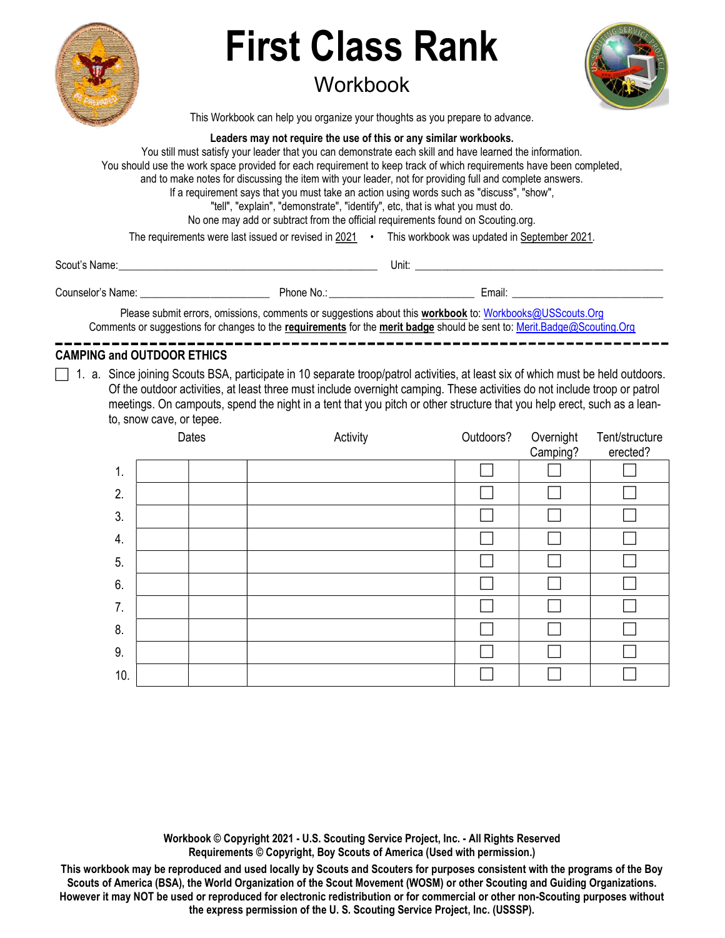

# First Class Rank

## **Workbook**



This Workbook can help you organize your thoughts as you prepare to advance.

#### Leaders may not require the use of this or any similar workbooks.

You still must satisfy your leader that you can demonstrate each skill and have learned the information. You should use the work space provided for each requirement to keep track of which requirements have been completed, and to make notes for discussing the item with your leader, not for providing full and complete answers. If a requirement says that you must take an action using words such as "discuss", "show", "tell", "explain", "demonstrate", "identify", etc, that is what you must do. No one may add or subtract from the official requirements found on Scouting.org. The requirements were last issued or revised in 2021 • This workbook was updated in September 2021.

Scout's Name: \_\_\_\_\_\_\_\_\_\_\_\_\_\_\_\_\_\_\_\_\_\_\_\_\_\_\_\_\_\_\_\_\_\_\_\_\_\_\_\_\_\_\_\_\_\_\_\_ Unit: \_\_\_\_\_\_\_\_\_\_\_\_\_\_\_\_\_\_\_\_\_\_\_\_\_\_\_\_\_\_\_\_\_\_\_\_\_\_\_\_\_\_\_\_\_\_

| ~<br>Counselor<br>Name | . NIC<br>. | mail: |
|------------------------|------------|-------|
|                        |            |       |

Please submit errors, omissions, comments or suggestions about this workbook to: Workbooks@USScouts.Org Comments or suggestions for changes to the requirements for the merit badge should be sent to: Merit.Badge@Scouting.Org

#### CAMPING and OUTDOOR ETHICS

 $\Box$  1. a. Since joining Scouts BSA, participate in 10 separate troop/patrol activities, at least six of which must be held outdoors. Of the outdoor activities, at least three must include overnight camping. These activities do not include troop or patrol meetings. On campouts, spend the night in a tent that you pitch or other structure that you help erect, such as a leanto, snow cave, or tepee.

|     | Dates | Activity | Outdoors? | Overnight<br>Camping? | Tent/structure<br>erected? |
|-----|-------|----------|-----------|-----------------------|----------------------------|
| 1.  |       |          |           |                       |                            |
| 2.  |       |          |           |                       |                            |
| 3.  |       |          |           |                       |                            |
| 4.  |       |          |           |                       |                            |
| 5.  |       |          |           |                       |                            |
| 6.  |       |          |           |                       |                            |
| 7.  |       |          |           |                       |                            |
| 8.  |       |          |           |                       |                            |
| 9.  |       |          |           |                       |                            |
| 10. |       |          |           |                       |                            |

Workbook © Copyright 2021 - U.S. Scouting Service Project, Inc. - All Rights Reserved Requirements © Copyright, Boy Scouts of America (Used with permission.)

This workbook may be reproduced and used locally by Scouts and Scouters for purposes consistent with the programs of the Boy Scouts of America (BSA), the World Organization of the Scout Movement (WOSM) or other Scouting and Guiding Organizations. However it may NOT be used or reproduced for electronic redistribution or for commercial or other non-Scouting purposes without the express permission of the U. S. Scouting Service Project, Inc. (USSSP).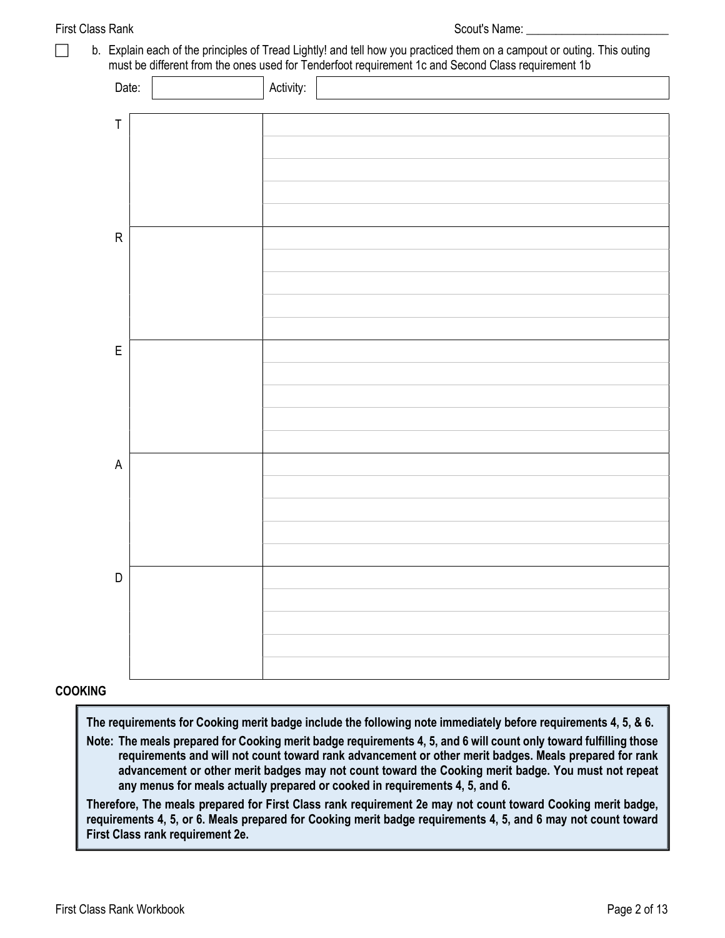First Class Rank Scout's Name:  $\sim$  Scout's Name: b. Explain each of the principles of Tread Lightly! and tell how you practiced them on a campout or outing. This outing must be different from the ones used for Tenderfoot requirement 1c and Second Class requirement 1b Date: Notice Activity: Notice Activity: T R E A D

#### COOKING

The requirements for Cooking merit badge include the following note immediately before requirements 4, 5, & 6.

Note: The meals prepared for Cooking merit badge requirements 4, 5, and 6 will count only toward fulfilling those requirements and will not count toward rank advancement or other merit badges. Meals prepared for rank advancement or other merit badges may not count toward the Cooking merit badge. You must not repeat any menus for meals actually prepared or cooked in requirements 4, 5, and 6.

Therefore, The meals prepared for First Class rank requirement 2e may not count toward Cooking merit badge, requirements 4, 5, or 6. Meals prepared for Cooking merit badge requirements 4, 5, and 6 may not count toward First Class rank requirement 2e.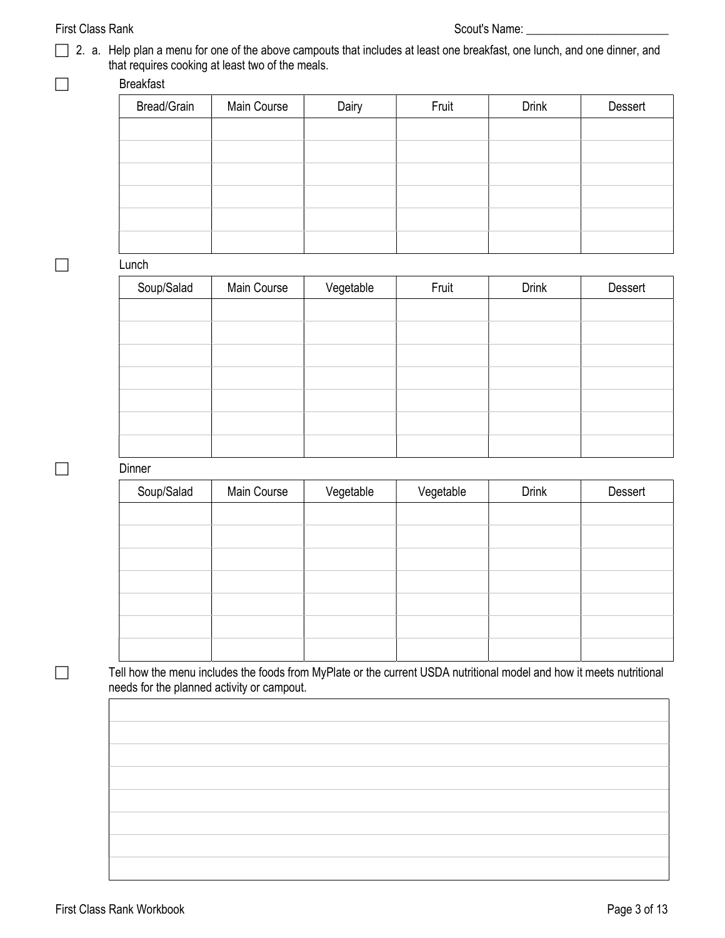#### First Class Rank Scout's Name: \_\_\_\_\_\_\_\_\_\_\_\_\_\_\_\_\_\_\_\_\_\_\_\_

2. a. Help plan a menu for one of the above campouts that includes at least one breakfast, one lunch, and one dinner, and that requires cooking at least two of the meals.

#### □ Breakfast

| Bread/Grain | Main Course | Dairy | Fruit | <b>Drink</b> | Dessert |
|-------------|-------------|-------|-------|--------------|---------|
|             |             |       |       |              |         |
|             |             |       |       |              |         |
|             |             |       |       |              |         |
|             |             |       |       |              |         |
|             |             |       |       |              |         |
|             |             |       |       |              |         |

 $\Box$  Lunch

| Soup/Salad | Main Course | Vegetable | Fruit | <b>Drink</b> | Dessert |
|------------|-------------|-----------|-------|--------------|---------|
|            |             |           |       |              |         |
|            |             |           |       |              |         |
|            |             |           |       |              |         |
|            |             |           |       |              |         |
|            |             |           |       |              |         |
|            |             |           |       |              |         |
|            |             |           |       |              |         |

#### $\square$  Dinner

| Soup/Salad | Main Course | Vegetable | Vegetable | <b>Drink</b> | Dessert |
|------------|-------------|-----------|-----------|--------------|---------|
|            |             |           |           |              |         |
|            |             |           |           |              |         |
|            |             |           |           |              |         |
|            |             |           |           |              |         |
|            |             |           |           |              |         |
|            |             |           |           |              |         |
|            |             |           |           |              |         |

Tell how the menu includes the foods from MyPlate or the current USDA nutritional model and how it meets nutritional needs for the planned activity or campout.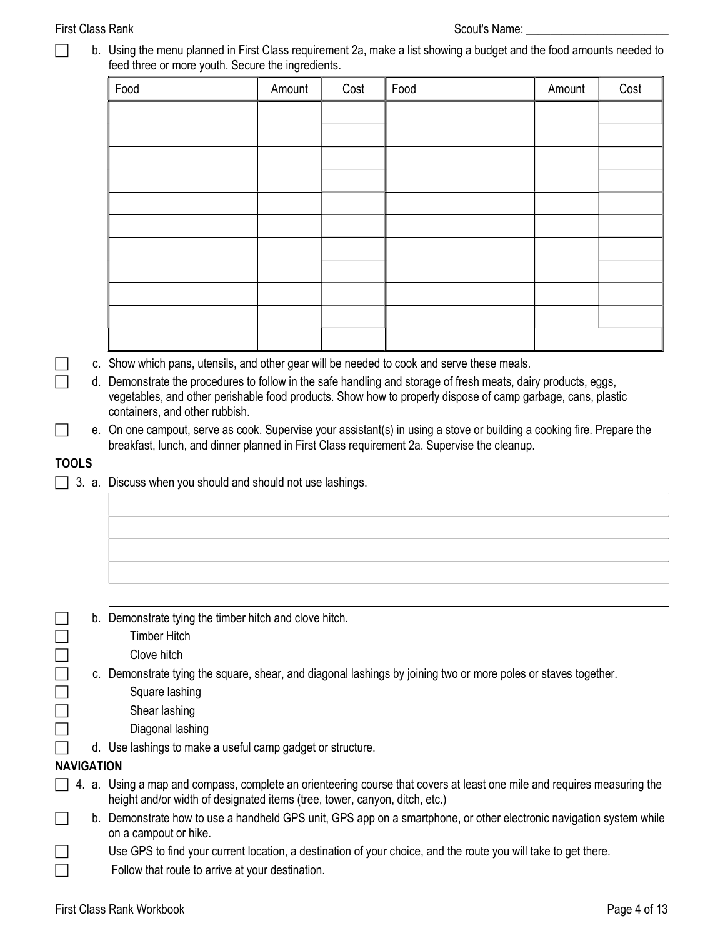□ b. Using the menu planned in First Class requirement 2a, make a list showing a budget and the food amounts needed to feed three or more youth. Secure the ingredients.

| Food | Amount | Cost | Food | Amount | Cost |
|------|--------|------|------|--------|------|
|      |        |      |      |        |      |
|      |        |      |      |        |      |
|      |        |      |      |        |      |
|      |        |      |      |        |      |
|      |        |      |      |        |      |
|      |        |      |      |        |      |
|      |        |      |      |        |      |
|      |        |      |      |        |      |
|      |        |      |      |        |      |
|      |        |      |      |        |      |
|      |        |      |      |        |      |

- c. Show which pans, utensils, and other gear will be needed to cook and serve these meals.
- d. Demonstrate the procedures to follow in the safe handling and storage of fresh meats, dairy products, eggs, vegetables, and other perishable food products. Show how to properly dispose of camp garbage, cans, plastic containers, and other rubbish.
- $\Box$  e. On one campout, serve as cook. Supervise your assistant(s) in using a stove or building a cooking fire. Prepare the breakfast, lunch, and dinner planned in First Class requirement 2a. Supervise the cleanup.

#### **TOOLS**

3. a. Discuss when you should and should not use lashings.

| $\Box$            |  | b. Demonstrate tying the timber hitch and clove hitch.                                                                                                                                                |
|-------------------|--|-------------------------------------------------------------------------------------------------------------------------------------------------------------------------------------------------------|
| $\Box$            |  | <b>Timber Hitch</b>                                                                                                                                                                                   |
| $\Box$            |  | Clove hitch                                                                                                                                                                                           |
| $\Box$            |  | c. Demonstrate tying the square, shear, and diagonal lashings by joining two or more poles or staves together.                                                                                        |
|                   |  | Square lashing                                                                                                                                                                                        |
| $\Box$            |  | Shear lashing                                                                                                                                                                                         |
| $\Box$            |  | Diagonal lashing                                                                                                                                                                                      |
|                   |  | d. Use lashings to make a useful camp gadget or structure.                                                                                                                                            |
| <b>NAVIGATION</b> |  |                                                                                                                                                                                                       |
|                   |  | 4. a. Using a map and compass, complete an orienteering course that covers at least one mile and requires measuring the<br>height and/or width of designated items (tree, tower, canyon, ditch, etc.) |
|                   |  | b. Demonstrate how to use a handheld GPS unit, GPS app on a smartphone, or other electronic navigation system while<br>on a campout or hike.                                                          |
|                   |  | Use GPS to find your current location, a destination of your choice, and the route you will take to get there.                                                                                        |
|                   |  | Follow that route to arrive at your destination.                                                                                                                                                      |
|                   |  |                                                                                                                                                                                                       |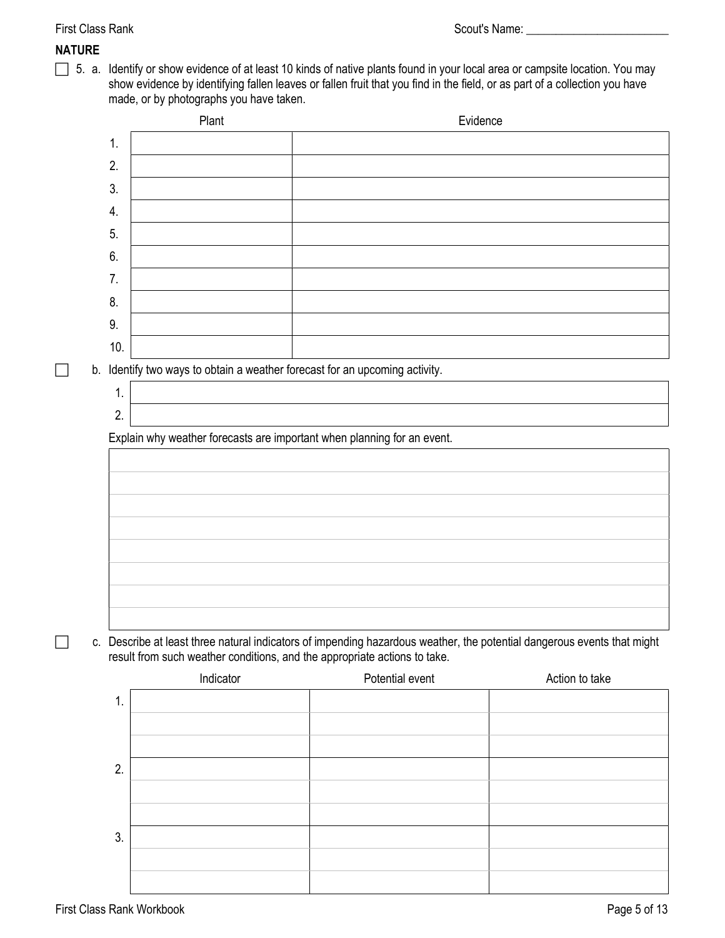#### NATURE

 5. a. Identify or show evidence of at least 10 kinds of native plants found in your local area or campsite location. You may show evidence by identifying fallen leaves or fallen fruit that you find in the field, or as part of a collection you have made, or by photographs you have taken.

|     | Plant     | Evidence                                                                                                                                                                                             |                |
|-----|-----------|------------------------------------------------------------------------------------------------------------------------------------------------------------------------------------------------------|----------------|
| 1.  |           |                                                                                                                                                                                                      |                |
| 2.  |           |                                                                                                                                                                                                      |                |
| 3.  |           |                                                                                                                                                                                                      |                |
| 4.  |           |                                                                                                                                                                                                      |                |
| 5.  |           |                                                                                                                                                                                                      |                |
| 6.  |           |                                                                                                                                                                                                      |                |
| 7.  |           |                                                                                                                                                                                                      |                |
| 8.  |           |                                                                                                                                                                                                      |                |
| 9.  |           |                                                                                                                                                                                                      |                |
| 10. |           |                                                                                                                                                                                                      |                |
|     |           | b. Identify two ways to obtain a weather forecast for an upcoming activity.                                                                                                                          |                |
| 1.  |           |                                                                                                                                                                                                      |                |
| 2.  |           |                                                                                                                                                                                                      |                |
|     |           | Explain why weather forecasts are important when planning for an event.                                                                                                                              |                |
|     |           |                                                                                                                                                                                                      |                |
|     |           | c. Describe at least three natural indicators of impending hazardous weather, the potential dangerous events that might<br>result from such weather conditions, and the appropriate actions to take. |                |
|     | Indicator | Potential event                                                                                                                                                                                      | Action to take |
| 1.  |           |                                                                                                                                                                                                      |                |
|     |           |                                                                                                                                                                                                      |                |
|     |           |                                                                                                                                                                                                      |                |
| 2.  |           |                                                                                                                                                                                                      |                |
|     |           |                                                                                                                                                                                                      |                |
|     |           |                                                                                                                                                                                                      |                |
| 3.  |           |                                                                                                                                                                                                      |                |
|     |           |                                                                                                                                                                                                      |                |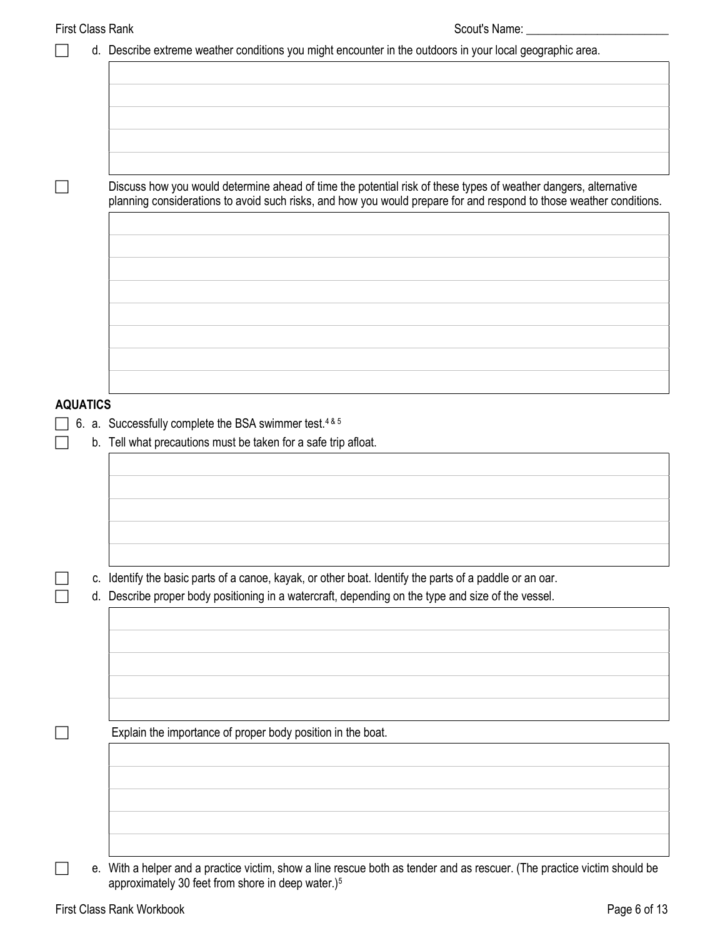| <b>First Class Rank</b> | Scout's Name:                                                                                                                                                                                                                          |
|-------------------------|----------------------------------------------------------------------------------------------------------------------------------------------------------------------------------------------------------------------------------------|
|                         | d. Describe extreme weather conditions you might encounter in the outdoors in your local geographic area.                                                                                                                              |
|                         |                                                                                                                                                                                                                                        |
|                         |                                                                                                                                                                                                                                        |
|                         |                                                                                                                                                                                                                                        |
|                         |                                                                                                                                                                                                                                        |
|                         |                                                                                                                                                                                                                                        |
|                         |                                                                                                                                                                                                                                        |
|                         | Discuss how you would determine ahead of time the potential risk of these types of weather dangers, alternative<br>planning considerations to avoid such risks, and how you would prepare for and respond to those weather conditions. |
|                         |                                                                                                                                                                                                                                        |
|                         |                                                                                                                                                                                                                                        |
|                         |                                                                                                                                                                                                                                        |
|                         |                                                                                                                                                                                                                                        |
|                         |                                                                                                                                                                                                                                        |
|                         |                                                                                                                                                                                                                                        |
|                         |                                                                                                                                                                                                                                        |
|                         |                                                                                                                                                                                                                                        |
|                         |                                                                                                                                                                                                                                        |
| <b>AQUATICS</b>         |                                                                                                                                                                                                                                        |
|                         | 6. a. Successfully complete the BSA swimmer test. <sup>4&amp;5</sup>                                                                                                                                                                   |
|                         | b. Tell what precautions must be taken for a safe trip afloat.                                                                                                                                                                         |
|                         |                                                                                                                                                                                                                                        |
|                         |                                                                                                                                                                                                                                        |
|                         |                                                                                                                                                                                                                                        |
|                         |                                                                                                                                                                                                                                        |
|                         |                                                                                                                                                                                                                                        |
|                         |                                                                                                                                                                                                                                        |
| C.                      | Identify the basic parts of a canoe, kayak, or other boat. Identify the parts of a paddle or an oar.                                                                                                                                   |
| d.                      | Describe proper body positioning in a watercraft, depending on the type and size of the vessel.                                                                                                                                        |
|                         |                                                                                                                                                                                                                                        |
|                         |                                                                                                                                                                                                                                        |
|                         |                                                                                                                                                                                                                                        |
|                         |                                                                                                                                                                                                                                        |
|                         |                                                                                                                                                                                                                                        |
|                         |                                                                                                                                                                                                                                        |
|                         | Explain the importance of proper body position in the boat.                                                                                                                                                                            |
|                         |                                                                                                                                                                                                                                        |
|                         |                                                                                                                                                                                                                                        |
|                         |                                                                                                                                                                                                                                        |
|                         |                                                                                                                                                                                                                                        |
|                         |                                                                                                                                                                                                                                        |
|                         | e. With a helper and a practice victim, show a line rescue both as tender and as rescuer. (The practice victim should be                                                                                                               |

approximately 30 feet from shore in deep water.)5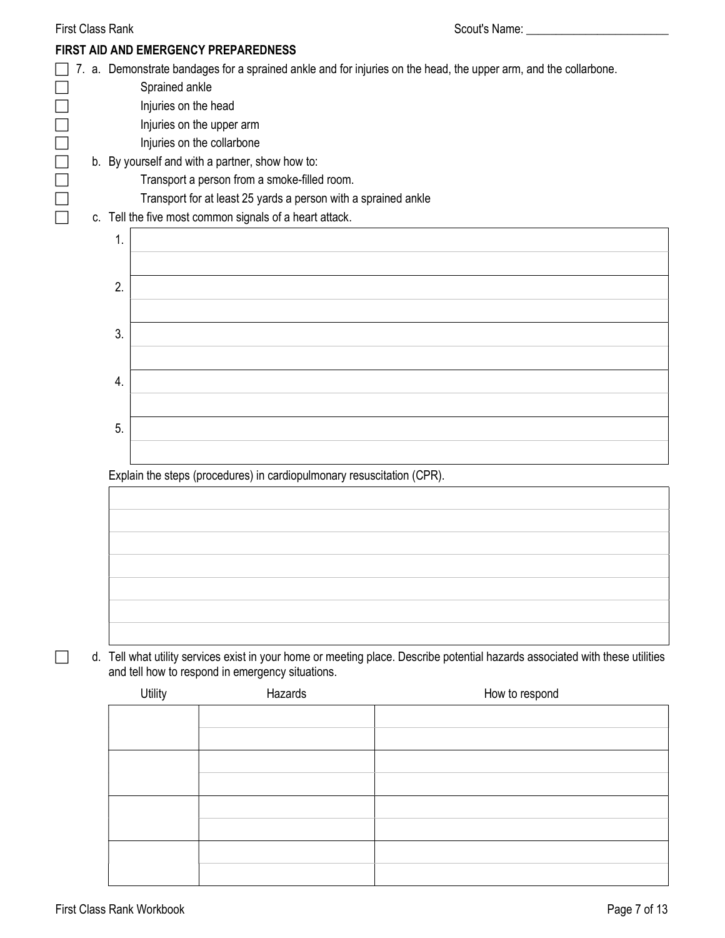| <b>First Class Rank</b> |    |                                        |                                                                                                            | Scout's Name: ___                                                                                                             |
|-------------------------|----|----------------------------------------|------------------------------------------------------------------------------------------------------------|-------------------------------------------------------------------------------------------------------------------------------|
|                         |    |                                        | FIRST AID AND EMERGENCY PREPAREDNESS                                                                       |                                                                                                                               |
|                         |    | Sprained ankle<br>Injuries on the head | Injuries on the upper arm<br>Injuries on the collarbone<br>b. By yourself and with a partner, show how to: | 7. a. Demonstrate bandages for a sprained ankle and for injuries on the head, the upper arm, and the collarbone.              |
|                         |    |                                        | Transport a person from a smoke-filled room.                                                               |                                                                                                                               |
|                         |    |                                        | Transport for at least 25 yards a person with a sprained ankle                                             |                                                                                                                               |
|                         |    |                                        | c. Tell the five most common signals of a heart attack.                                                    |                                                                                                                               |
|                         | 1. |                                        |                                                                                                            |                                                                                                                               |
|                         |    |                                        |                                                                                                            |                                                                                                                               |
|                         | 2. |                                        |                                                                                                            |                                                                                                                               |
|                         |    |                                        |                                                                                                            |                                                                                                                               |
|                         |    |                                        |                                                                                                            |                                                                                                                               |
|                         | 3. |                                        |                                                                                                            |                                                                                                                               |
|                         |    |                                        |                                                                                                            |                                                                                                                               |
|                         | 4. |                                        |                                                                                                            |                                                                                                                               |
|                         |    |                                        |                                                                                                            |                                                                                                                               |
|                         | 5. |                                        |                                                                                                            |                                                                                                                               |
|                         |    |                                        |                                                                                                            |                                                                                                                               |
|                         |    |                                        |                                                                                                            |                                                                                                                               |
|                         |    |                                        | Explain the steps (procedures) in cardiopulmonary resuscitation (CPR).                                     |                                                                                                                               |
|                         |    |                                        |                                                                                                            |                                                                                                                               |
|                         |    |                                        |                                                                                                            |                                                                                                                               |
|                         |    |                                        |                                                                                                            |                                                                                                                               |
|                         |    |                                        |                                                                                                            |                                                                                                                               |
|                         |    |                                        |                                                                                                            |                                                                                                                               |
|                         |    |                                        |                                                                                                            |                                                                                                                               |
|                         |    |                                        |                                                                                                            |                                                                                                                               |
|                         |    |                                        | and tell how to respond in emergency situations.                                                           | d. Tell what utility services exist in your home or meeting place. Describe potential hazards associated with these utilities |
|                         |    | Utility                                | Hazards                                                                                                    | How to respond                                                                                                                |
|                         |    |                                        |                                                                                                            |                                                                                                                               |
|                         |    |                                        |                                                                                                            |                                                                                                                               |
|                         |    |                                        |                                                                                                            |                                                                                                                               |
|                         |    |                                        |                                                                                                            |                                                                                                                               |
|                         |    |                                        |                                                                                                            |                                                                                                                               |
|                         |    |                                        |                                                                                                            |                                                                                                                               |
|                         |    |                                        |                                                                                                            |                                                                                                                               |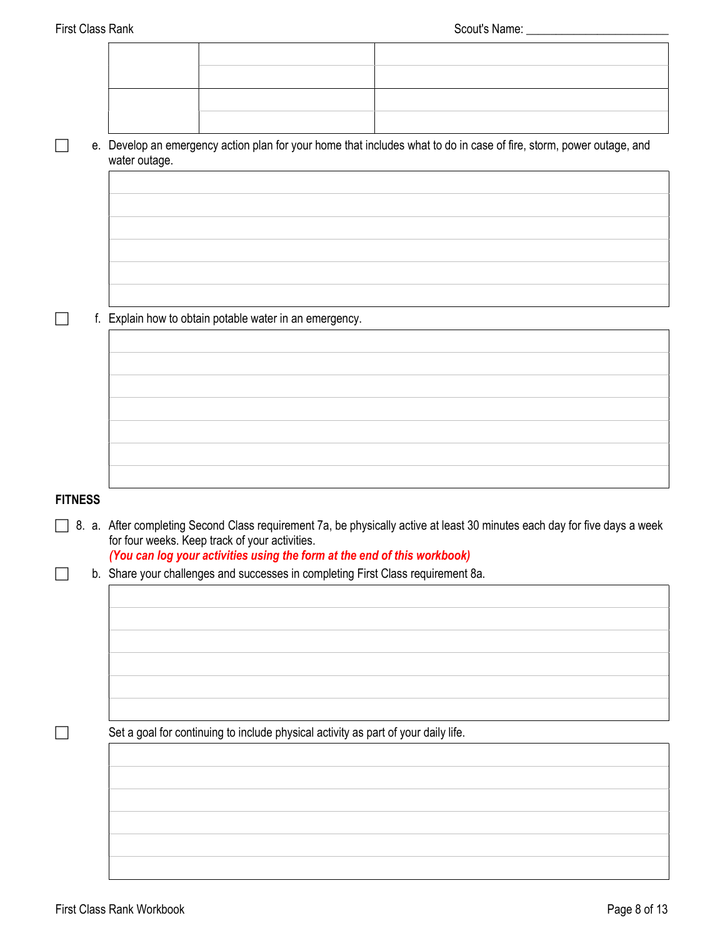| water outage. |  | e. Develop an emergency action plan for your home that includes what to do in case of fire, storm, power outage, and |
|---------------|--|----------------------------------------------------------------------------------------------------------------------|
|               |  |                                                                                                                      |
|               |  |                                                                                                                      |

 $\Box$  f. Explain how to obtain potable water in an emergency.

#### **FITNESS**

8. a. After completing Second Class requirement 7a, be physically active at least 30 minutes each day for five days a week for four weeks. Keep track of your activities.

#### (You can log your activities using the form at the end of this workbook)

b. Share your challenges and successes in completing First Class requirement 8a.

Set a goal for continuing to include physical activity as part of your daily life.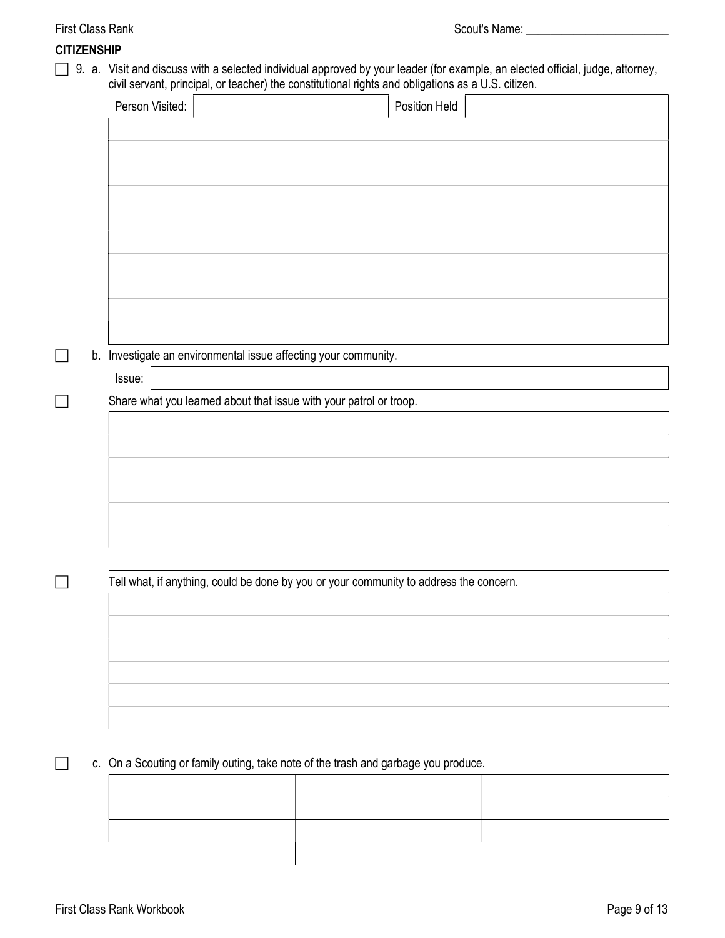#### CITIZENSHIP

□ 9. a. Visit and discuss with a selected individual approved by your leader (for example, an elected official, judge, attorney, civil servant, principal, or teacher) the constitutional rights and obligations as a U.S. citizen.

|        |                                                                    | Position Held                                                                          |  |
|--------|--------------------------------------------------------------------|----------------------------------------------------------------------------------------|--|
|        |                                                                    |                                                                                        |  |
|        |                                                                    |                                                                                        |  |
|        |                                                                    |                                                                                        |  |
|        |                                                                    |                                                                                        |  |
|        |                                                                    |                                                                                        |  |
|        |                                                                    |                                                                                        |  |
|        |                                                                    |                                                                                        |  |
|        |                                                                    |                                                                                        |  |
|        |                                                                    |                                                                                        |  |
|        |                                                                    |                                                                                        |  |
|        | b. Investigate an environmental issue affecting your community.    |                                                                                        |  |
| Issue: |                                                                    |                                                                                        |  |
|        | Share what you learned about that issue with your patrol or troop. |                                                                                        |  |
|        |                                                                    |                                                                                        |  |
|        |                                                                    |                                                                                        |  |
|        |                                                                    |                                                                                        |  |
|        |                                                                    |                                                                                        |  |
|        |                                                                    |                                                                                        |  |
|        |                                                                    |                                                                                        |  |
|        |                                                                    |                                                                                        |  |
|        |                                                                    |                                                                                        |  |
|        |                                                                    | Tell what, if anything, could be done by you or your community to address the concern. |  |
|        |                                                                    |                                                                                        |  |
|        |                                                                    |                                                                                        |  |
|        |                                                                    |                                                                                        |  |
|        |                                                                    |                                                                                        |  |
|        |                                                                    |                                                                                        |  |
|        |                                                                    |                                                                                        |  |
|        |                                                                    |                                                                                        |  |
|        |                                                                    |                                                                                        |  |
|        |                                                                    | c. On a Scouting or family outing, take note of the trash and garbage you produce.     |  |
|        |                                                                    |                                                                                        |  |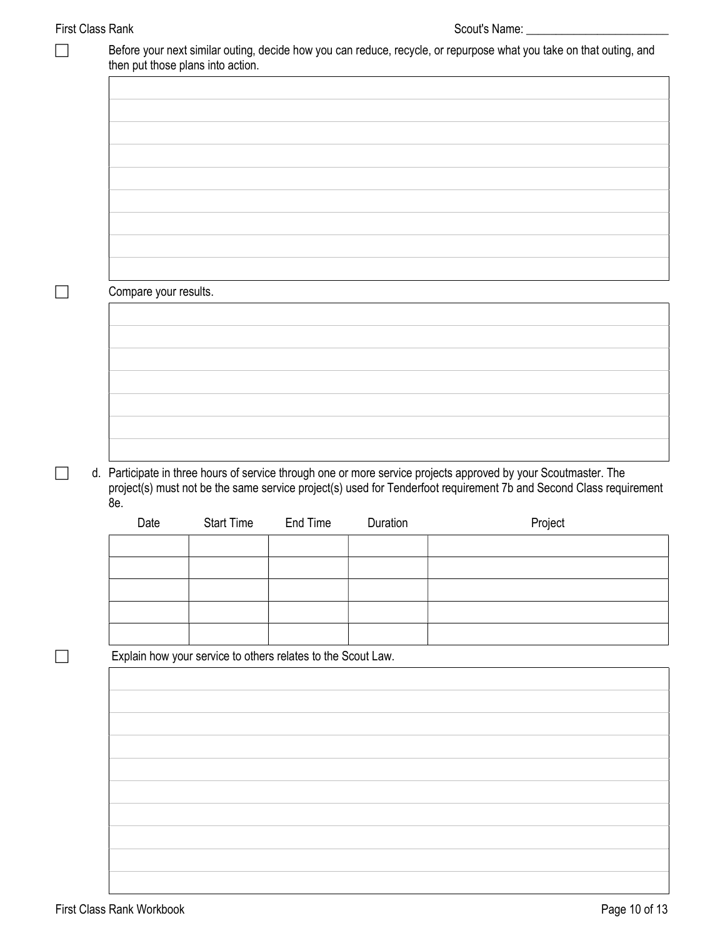### First Class Rank Scout's Name: \_\_\_\_\_\_\_\_\_\_\_\_\_\_\_\_\_\_\_\_\_\_\_\_

| Compare your results. |                                                              |          |          |                                                                                                                                                                                                                                       |         |
|-----------------------|--------------------------------------------------------------|----------|----------|---------------------------------------------------------------------------------------------------------------------------------------------------------------------------------------------------------------------------------------|---------|
|                       |                                                              |          |          |                                                                                                                                                                                                                                       |         |
|                       |                                                              |          |          |                                                                                                                                                                                                                                       |         |
|                       |                                                              |          |          |                                                                                                                                                                                                                                       |         |
|                       |                                                              |          |          |                                                                                                                                                                                                                                       |         |
|                       |                                                              |          |          |                                                                                                                                                                                                                                       |         |
|                       |                                                              |          |          |                                                                                                                                                                                                                                       |         |
|                       |                                                              |          |          |                                                                                                                                                                                                                                       |         |
|                       |                                                              |          |          |                                                                                                                                                                                                                                       |         |
|                       |                                                              |          |          |                                                                                                                                                                                                                                       |         |
|                       |                                                              |          |          |                                                                                                                                                                                                                                       |         |
|                       |                                                              |          |          |                                                                                                                                                                                                                                       |         |
| 8e.                   |                                                              |          |          | d. Participate in three hours of service through one or more service projects approved by your Scoutmaster. The<br>project(s) must not be the same service project(s) used for Tenderfoot requirement 7b and Second Class requirement |         |
| Date                  | <b>Start Time</b>                                            | End Time | Duration |                                                                                                                                                                                                                                       | Project |
|                       |                                                              |          |          |                                                                                                                                                                                                                                       |         |
|                       |                                                              |          |          |                                                                                                                                                                                                                                       |         |
|                       |                                                              |          |          |                                                                                                                                                                                                                                       |         |
|                       |                                                              |          |          |                                                                                                                                                                                                                                       |         |
|                       |                                                              |          |          |                                                                                                                                                                                                                                       |         |
|                       | Explain how your service to others relates to the Scout Law. |          |          |                                                                                                                                                                                                                                       |         |
|                       |                                                              |          |          |                                                                                                                                                                                                                                       |         |
|                       |                                                              |          |          |                                                                                                                                                                                                                                       |         |
|                       |                                                              |          |          |                                                                                                                                                                                                                                       |         |
|                       |                                                              |          |          |                                                                                                                                                                                                                                       |         |
|                       |                                                              |          |          |                                                                                                                                                                                                                                       |         |
|                       |                                                              |          |          |                                                                                                                                                                                                                                       |         |
|                       |                                                              |          |          |                                                                                                                                                                                                                                       |         |
|                       |                                                              |          |          |                                                                                                                                                                                                                                       |         |
|                       |                                                              |          |          |                                                                                                                                                                                                                                       |         |
|                       |                                                              |          |          |                                                                                                                                                                                                                                       |         |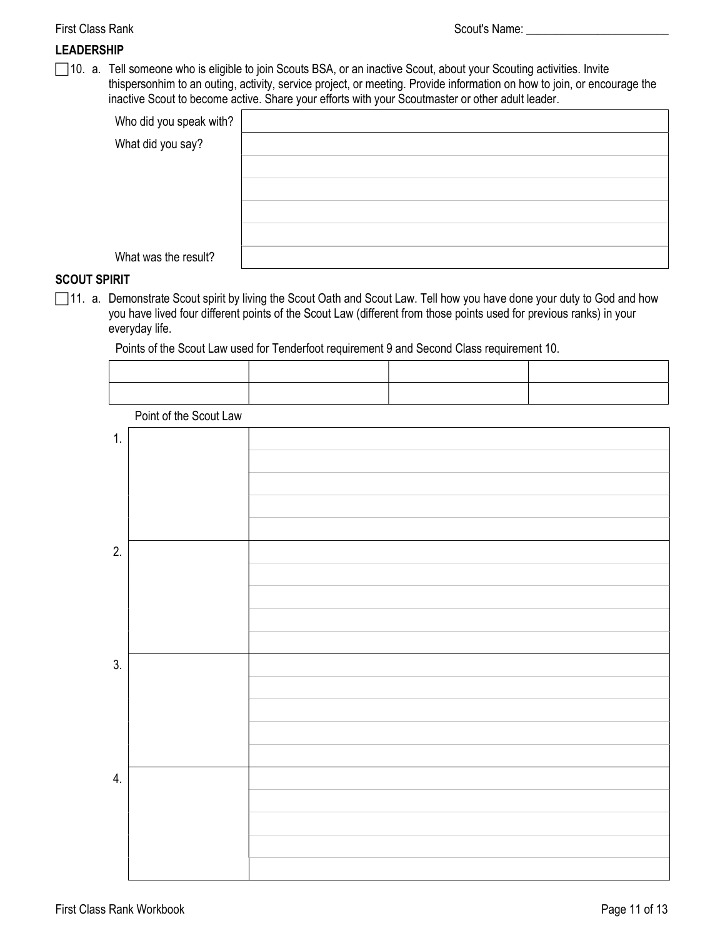#### LEADERSHIP

□ 10. a. Tell someone who is eligible to join Scouts BSA, or an inactive Scout, about your Scouting activities. Invite thispersonhim to an outing, activity, service project, or meeting. Provide information on how to join, or encourage the inactive Scout to become active. Share your efforts with your Scoutmaster or other adult leader.

| Who did you speak with? |  |
|-------------------------|--|
| What did you say?       |  |
|                         |  |
|                         |  |
|                         |  |
|                         |  |
| What was the result?    |  |

#### SCOUT SPIRIT

□ 11. a. Demonstrate Scout spirit by living the Scout Oath and Scout Law. Tell how you have done your duty to God and how you have lived four different points of the Scout Law (different from those points used for previous ranks) in your everyday life.

Points of the Scout Law used for Tenderfoot requirement 9 and Second Class requirement 10.

Point of the Scout Law

| 1. |  |
|----|--|
|    |  |
|    |  |
|    |  |
|    |  |
| 2. |  |
|    |  |
|    |  |
|    |  |
|    |  |
| 3. |  |
|    |  |
|    |  |
|    |  |
|    |  |
| 4. |  |
|    |  |
|    |  |
|    |  |
|    |  |
|    |  |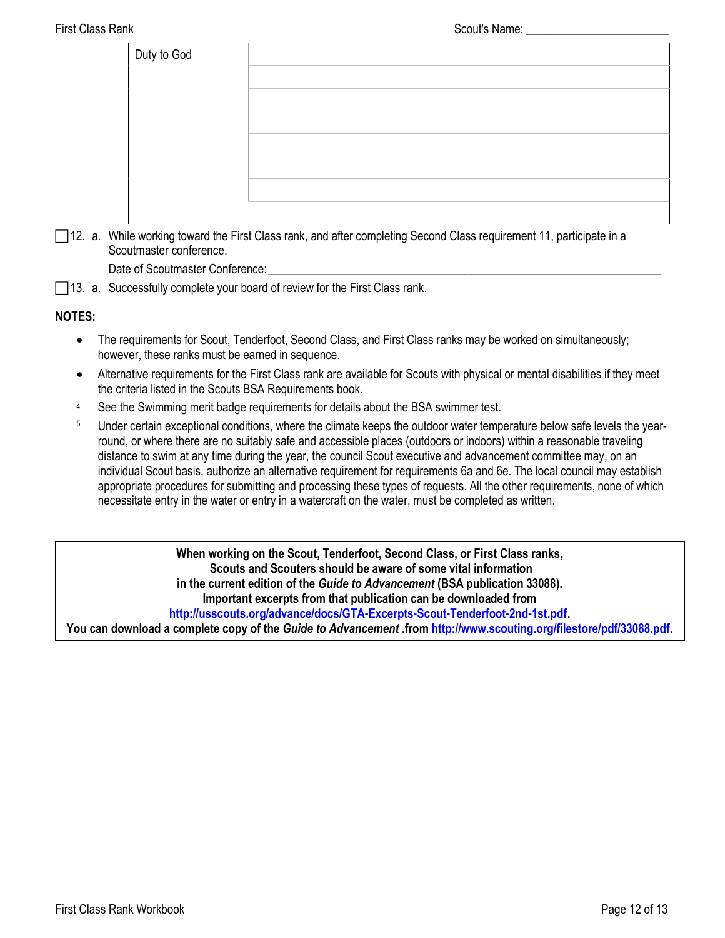| Duty to God |  |
|-------------|--|
|             |  |
|             |  |
|             |  |
|             |  |
|             |  |
|             |  |
|             |  |

 12. a. While working toward the First Class rank, and after completing Second Class requirement 11, participate in a Scoutmaster conference.

Date of Scoutmaster Conference:

 $\Box$ 13. a. Successfully complete your board of review for the First Class rank.

#### NOTES:

- The requirements for Scout, Tenderfoot, Second Class, and First Class ranks may be worked on simultaneously; however, these ranks must be earned in sequence.
- Alternative requirements for the First Class rank are available for Scouts with physical or mental disabilities if they meet the criteria listed in the Scouts BSA Requirements book.
- <sup>4</sup> See the Swimming merit badge requirements for details about the BSA swimmer test.
- <sup>5</sup> Under certain exceptional conditions, where the climate keeps the outdoor water temperature below safe levels the yearround, or where there are no suitably safe and accessible places (outdoors or indoors) within a reasonable traveling distance to swim at any time during the year, the council Scout executive and advancement committee may, on an individual Scout basis, authorize an alternative requirement for requirements 6a and 6e. The local council may establish appropriate procedures for submitting and processing these types of requests. All the other requirements, none of which necessitate entry in the water or entry in a watercraft on the water, must be completed as written.

When working on the Scout, Tenderfoot, Second Class, or First Class ranks, Scouts and Scouters should be aware of some vital information in the current edition of the Guide to Advancement (BSA publication 33088). Important excerpts from that publication can be downloaded from http://usscouts.org/advance/docs/GTA-Excerpts-Scout-Tenderfoot-2nd-1st.pdf. You can download a complete copy of the Guide to Advancement .from http://www.scouting.org/filestore/pdf/33088.pdf.